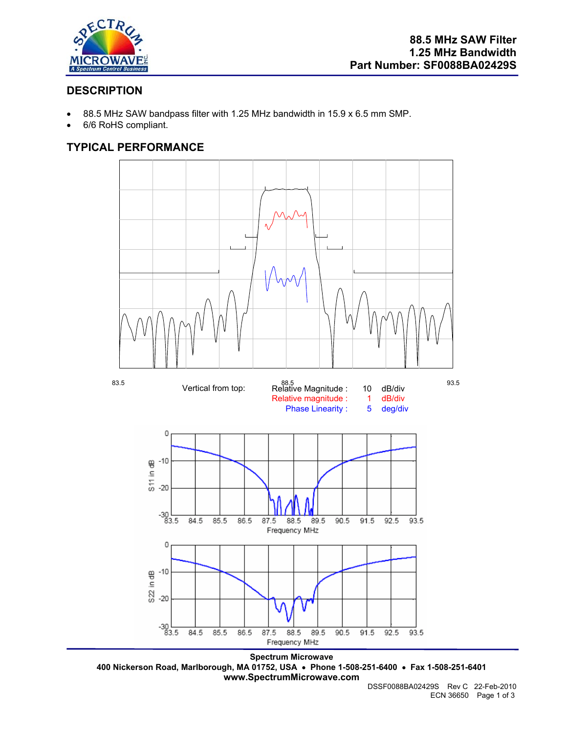

## **DESCRIPTION**

- 88.5 MHz SAW bandpass filter with 1.25 MHz bandwidth in 15.9 x 6.5 mm SMP.
- 6/6 RoHS compliant.

# **TYPICAL PERFORMANCE**



**Spectrum Microwave 400 Nickerson Road, Marlborough, MA 01752, USA** • **Phone 1-508-251-6400** • **Fax 1-508-251-6401 www.SpectrumMicrowave.com**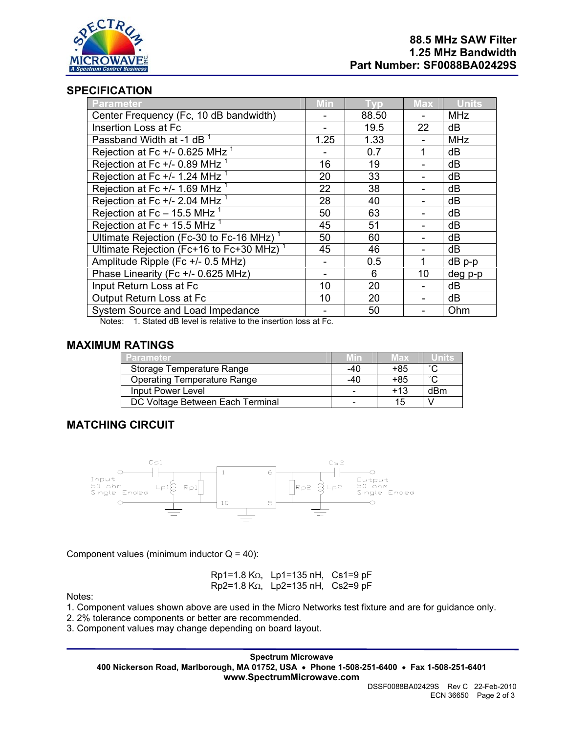

### **SPECIFICATION**

| Parameter                                            | <b>Min</b> | <b>Typ</b> | <b>Max</b> | <b>Units</b> |
|------------------------------------------------------|------------|------------|------------|--------------|
| Center Frequency (Fc, 10 dB bandwidth)               |            | 88.50      |            | <b>MHz</b>   |
| Insertion Loss at Fc                                 |            | 19.5       | 22         | dB           |
| Passband Width at -1 dB <sup>1</sup>                 | 1.25       | 1.33       |            | <b>MHz</b>   |
| Rejection at Fc $+/-$ 0.625 MHz $1$                  |            | 0.7        |            | dB           |
| Rejection at Fc $+/-$ 0.89 MHz $1$                   | 16         | 19         |            | dB           |
| Rejection at Fc $+/- 1.24$ MHz $1$                   | 20         | 33         |            | dB           |
| Rejection at Fc $+/- 1.69$ MHz $1$                   | 22         | 38         |            | dB           |
| Rejection at Fc $+/- 2.04$ MHz $1$                   | 28         | 40         |            | dB           |
| Rejection at Fc - $15.\overline{5}$ MHz <sup>1</sup> | 50         | 63         |            | dB           |
| Rejection at Fc + 15.5 MHz $1$                       | 45         | 51         |            | dB           |
| Ultimate Rejection (Fc-30 to Fc-16 MHz) <sup>1</sup> | 50         | 60         |            | dB           |
| Ultimate Rejection (Fc+16 to Fc+30 MHz) <sup>1</sup> | 45         | 46         |            | dB           |
| Amplitude Ripple (Fc +/- 0.5 MHz)                    |            | 0.5        |            | dB p-p       |
| Phase Linearity (Fc +/- 0.625 MHz)                   |            | 6          | 10         | deg p-p      |
| Input Return Loss at Fc                              | 10         | 20         |            | dB           |
| Output Return Loss at Fc                             | 10         | 20         |            | dB           |
| System Source and Load Impedance                     |            | 50         |            | Ohm          |

Notes: 1. Stated dB level is relative to the insertion loss at Fc.

### **MAXIMUM RATINGS**

| /Parameter                         | Min | Max   | Units  |
|------------------------------------|-----|-------|--------|
| Storage Temperature Range          | -40 | +85   | $\sim$ |
| <b>Operating Temperature Range</b> | -40 | +85   | $\sim$ |
| Input Power Level                  |     | $+13$ | dBm    |
| DC Voltage Between Each Terminal   |     | 15    |        |

## **MATCHING CIRCUIT**



Component values (minimum inductor  $Q = 40$ ):

Rp1=1.8 KΩ, Lp1=135 nH, Cs1=9 pF Rp2=1.8 KΩ, Lp2=135 nH, Cs2=9 pF

Notes:

- 1. Component values shown above are used in the Micro Networks test fixture and are for guidance only.
- 2. 2% tolerance components or better are recommended.
- 3. Component values may change depending on board layout.

**Spectrum Microwave 400 Nickerson Road, Marlborough, MA 01752, USA** • **Phone 1-508-251-6400** • **Fax 1-508-251-6401 www.SpectrumMicrowave.com**